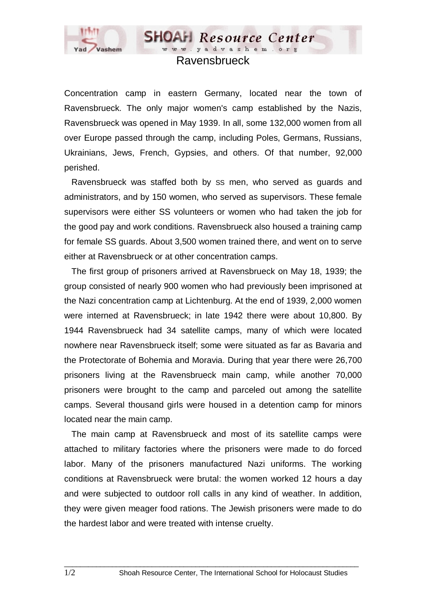

## Ravensbrueck

**SHOAH** Resource Center www.yadvashem.or

Concentration camp in eastern Germany, located near the town of Ravensbrueck. The only major women's camp established by the Nazis, Ravensbrueck was opened in May 1939. In all, some 132,000 women from all over Europe passed through the camp, including Poles, Germans, Russians, Ukrainians, Jews, French, Gypsies, and others. Of that number, 92,000 perished.

 Ravensbrueck was staffed both by SS men, who served as guards and administrators, and by 150 women, who served as supervisors. These female supervisors were either SS volunteers or women who had taken the job for the good pay and work conditions. Ravensbrueck also housed a training camp for female SS guards. About 3,500 women trained there, and went on to serve either at Ravensbrueck or at other concentration camps.

 The first group of prisoners arrived at Ravensbrueck on May 18, 1939; the group consisted of nearly 900 women who had previously been imprisoned at the Nazi concentration camp at Lichtenburg. At the end of 1939, 2,000 women were interned at Ravensbrueck; in late 1942 there were about 10,800. By 1944 Ravensbrueck had 34 satellite camps, many of which were located nowhere near Ravensbrueck itself; some were situated as far as Bavaria and the Protectorate of Bohemia and Moravia. During that year there were 26,700 prisoners living at the Ravensbrueck main camp, while another 70,000 prisoners were brought to the camp and parceled out among the satellite camps. Several thousand girls were housed in a detention camp for minors located near the main camp.

 The main camp at Ravensbrueck and most of its satellite camps were attached to military factories where the prisoners were made to do forced labor. Many of the prisoners manufactured Nazi uniforms. The working conditions at Ravensbrueck were brutal: the women worked 12 hours a day and were subjected to outdoor roll calls in any kind of weather. In addition, they were given meager food rations. The Jewish prisoners were made to do the hardest labor and were treated with intense cruelty.

 $\_$  ,  $\_$  ,  $\_$  ,  $\_$  ,  $\_$  ,  $\_$  ,  $\_$  ,  $\_$  ,  $\_$  ,  $\_$  ,  $\_$  ,  $\_$  ,  $\_$  ,  $\_$  ,  $\_$  ,  $\_$  ,  $\_$  ,  $\_$  ,  $\_$